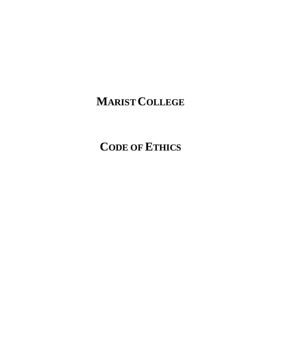# **MARIST COLLEGE**

**CODE OF ETHICS**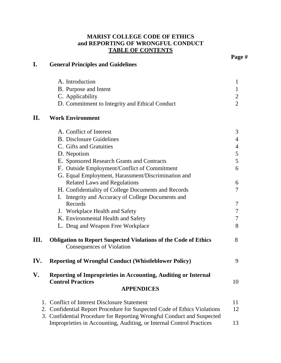## **MARIST COLLEGE CODE OF ETHICS and REPORTING OF WRONGFUL CONDUCT TABLE OF CONTENTS**

| I.       | <b>General Principles and Guidelines</b>                                                                                                    |                |
|----------|---------------------------------------------------------------------------------------------------------------------------------------------|----------------|
|          | A. Introduction                                                                                                                             | 1              |
|          | B. Purpose and Intent                                                                                                                       | 1              |
|          | C. Applicability                                                                                                                            | $\overline{2}$ |
|          | D. Commitment to Integrity and Ethical Conduct                                                                                              | $\overline{2}$ |
| II.      | <b>Work Environment</b>                                                                                                                     |                |
|          | A. Conflict of Interest                                                                                                                     | 3              |
|          | <b>B.</b> Disclosure Guidelines                                                                                                             | 4              |
|          | C. Gifts and Gratuities                                                                                                                     | $\overline{4}$ |
|          | D. Nepotism                                                                                                                                 | 5              |
|          | E. Sponsored Research Grants and Contracts                                                                                                  | 5              |
|          | F. Outside Employment/Conflict of Commitment                                                                                                | 6              |
|          | G. Equal Employment, Harassment/Discrimination and                                                                                          |                |
|          | <b>Related Laws and Regulations</b>                                                                                                         | 6              |
|          | H. Confidentiality of College Documents and Records                                                                                         | 7              |
|          | I. Integrity and Accuracy of College Documents and<br>Records                                                                               |                |
|          |                                                                                                                                             | 7<br>7         |
|          | J. Workplace Health and Safety<br>K. Environmental Health and Safety                                                                        | 7              |
|          | L. Drug and Weapon Free Workplace                                                                                                           | 8              |
|          |                                                                                                                                             |                |
| Ш.       | <b>Obligation to Report Suspected Violations of the Code of Ethics</b><br><b>Consequences of Violation</b>                                  | 8              |
| IV.      | <b>Reporting of Wrongful Conduct (Whistleblower Policy)</b>                                                                                 | 9              |
| V.       | <b>Reporting of Improprieties in Accounting, Auditing or Internal</b><br><b>Control Practices</b>                                           | 10             |
|          | <b>APPENDICES</b>                                                                                                                           |                |
| 1.       | <b>Conflict of Interest Disclosure Statement</b>                                                                                            | 11             |
| 2.<br>3. | Confidential Report Procedure for Suspected Code of Ethics Violations                                                                       | 12             |
|          | Confidential Procedure for Reporting Wrongful Conduct and Suspected<br>Improprieties in Accounting, Auditing, or Internal Control Practices | 13             |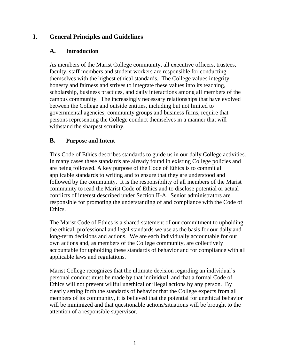## **I. General Principles and Guidelines**

#### **A. Introduction**

As members of the Marist College community, all executive officers, trustees, faculty, staff members and student workers are responsible for conducting themselves with the highest ethical standards. The College values integrity, honesty and fairness and strives to integrate these values into its teaching, scholarship, business practices, and daily interactions among all members of the campus community. The increasingly necessary relationships that have evolved between the College and outside entities, including but not limited to governmental agencies, community groups and business firms, require that persons representing the College conduct themselves in a manner that will withstand the sharpest scrutiny.

## **B. Purpose and Intent**

This Code of Ethics describes standards to guide us in our daily College activities. In many cases these standards are already found in existing College policies and are being followed. A key purpose of the Code of Ethics is to commit all applicable standards to writing and to ensure that they are understood and followed by the community. It is the responsibility of all members of the Marist community to read the Marist Code of Ethics and to disclose potential or actual conflicts of interest described under Section II-A. Senior administrators are responsible for promoting the understanding of and compliance with the Code of Ethics.

The Marist Code of Ethics is a shared statement of our commitment to upholding the ethical, professional and legal standards we use as the basis for our daily and long-term decisions and actions. We are each individually accountable for our own actions and, as members of the College community, are collectively accountable for upholding these standards of behavior and for compliance with all applicable laws and regulations.

Marist College recognizes that the ultimate decision regarding an individual's personal conduct must be made by that individual, and that a formal Code of Ethics will not prevent willful unethical or illegal actions by any person. By clearly setting forth the standards of behavior that the College expects from all members of its community, it is believed that the potential for unethical behavior will be minimized and that questionable actions/situations will be brought to the attention of a responsible supervisor.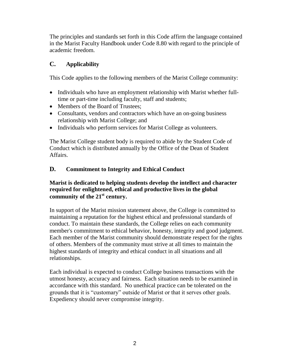The principles and standards set forth in this Code affirm the language contained in the Marist Faculty Handbook under Code 8.80 with regard to the principle of academic freedom.

## **C. Applicability**

This Code applies to the following members of the Marist College community:

- Individuals who have an employment relationship with Marist whether fulltime or part-time including faculty, staff and students;
- Members of the Board of Trustees:
- Consultants, vendors and contractors which have an on-going business relationship with Marist College; and
- Individuals who perform services for Marist College as volunteers.

The Marist College student body is required to abide by the Student Code of Conduct which is distributed annually by the Office of the Dean of Student Affairs.

## **D. Commitment to Integrity and Ethical Conduct**

#### **Marist is dedicated to helping students develop the intellect and character required for enlightened, ethical and productive lives in the global**  community of the 21<sup>st</sup> century.

In support of the Marist mission statement above, the College is committed to maintaining a reputation for the highest ethical and professional standards of conduct. To maintain these standards, the College relies on each community member's commitment to ethical behavior, honesty, integrity and good judgment. Each member of the Marist community should demonstrate respect for the rights of others. Members of the community must strive at all times to maintain the highest standards of integrity and ethical conduct in all situations and all relationships.

Each individual is expected to conduct College business transactions with the utmost honesty, accuracy and fairness. Each situation needs to be examined in accordance with this standard. No unethical practice can be tolerated on the grounds that it is "customary" outside of Marist or that it serves other goals. Expediency should never compromise integrity.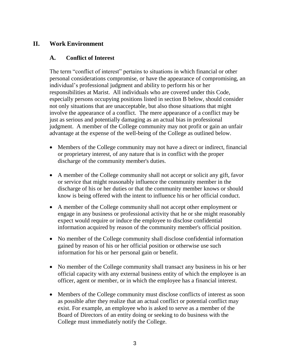## **II. Work Environment**

#### **A. Conflict of Interest**

The term "conflict of interest" pertains to situations in which financial or other personal considerations compromise, or have the appearance of compromising, an individual's professional judgment and ability to perform his or her responsibilities at Marist. All individuals who are covered under this Code, especially persons occupying positions listed in section B below, should consider not only situations that are unacceptable, but also those situations that might involve the appearance of a conflict. The mere appearance of a conflict may be just as serious and potentially damaging as an actual bias in professional judgment. A member of the College community may not profit or gain an unfair advantage at the expense of the well-being of the College as outlined below.

- Members of the College community may not have a direct or indirect, financial or proprietary interest, of any nature that is in conflict with the proper discharge of the community member's duties.
- A member of the College community shall not accept or solicit any gift, favor or service that might reasonably influence the community member in the discharge of his or her duties or that the community member knows or should know is being offered with the intent to influence his or her official conduct.
- A member of the College community shall not accept other employment or engage in any business or professional activity that he or she might reasonably expect would require or induce the employee to disclose confidential information acquired by reason of the community member's official position.
- No member of the College community shall disclose confidential information gained by reason of his or her official position or otherwise use such information for his or her personal gain or benefit.
- No member of the College community shall transact any business in his or her official capacity with any external business entity of which the employee is an officer, agent or member, or in which the employee has a financial interest.
- Members of the College community must disclose conflicts of interest as soon as possible after they realize that an actual conflict or potential conflict may exist. For example, an employee who is asked to serve as a member of the Board of Directors of an entity doing or seeking to do business with the College must immediately notify the College.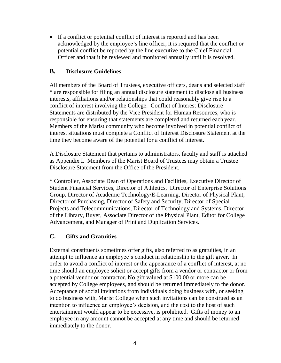If a conflict or potential conflict of interest is reported and has been acknowledged by the employee's line officer, it is required that the conflict or potential conflict be reported by the line executive to the Chief Financial Officer and that it be reviewed and monitored annually until it is resolved.

#### **B. Disclosure Guidelines**

All members of the Board of Trustees, executive officers, deans and selected staff **\*** are responsible for filing an annual disclosure statement to disclose all business interests, affiliations and/or relationships that could reasonably give rise to a conflict of interest involving the College. Conflict of Interest Disclosure Statements are distributed by the Vice President for Human Resources, who is responsible for ensuring that statements are completed and returned each year. Members of the Marist community who become involved in potential conflict of interest situations must complete a Conflict of Interest Disclosure Statement at the time they become aware of the potential for a conflict of interest.

A Disclosure Statement that pertains to administrators, faculty and staff is attached as Appendix I. Members of the Marist Board of Trustees may obtain a Trustee Disclosure Statement from the Office of the President.

\* Controller, Associate Dean of Operations and Facilities, Executive Director of Student Financial Services, Director of Athletics, Director of Enterprise Solutions Group, Director of Academic Technology/E-Learning, Director of Physical Plant, Director of Purchasing, Director of Safety and Security, Director of Special Projects and Telecommunications, Director of Technology and Systems, Director of the Library, Buyer, Associate Director of the Physical Plant, Editor for College Advancement, and Manager of Print and Duplication Services.

## **C. Gifts and Gratuities**

External constituents sometimes offer gifts, also referred to as gratuities, in an attempt to influence an employee's conduct in relationship to the gift giver. In order to avoid a conflict of interest or the appearance of a conflict of interest, at no time should an employee solicit or accept gifts from a vendor or contractor or from a potential vendor or contractor. No gift valued at \$100.00 or more can be accepted by College employees, and should be returned immediately to the donor. Acceptance of social invitations from individuals doing business with, or seeking to do business with, Marist College when such invitations can be construed as an intention to influence an employee's decision, and the cost to the host of such entertainment would appear to be excessive, is prohibited. Gifts of money to an employee in any amount cannot be accepted at any time and should be returned immediately to the donor.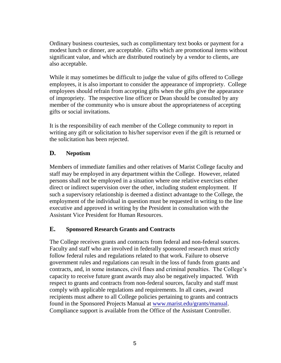Ordinary business courtesies, such as complimentary text books or payment for a modest lunch or dinner, are acceptable. Gifts which are promotional items without significant value, and which are distributed routinely by a vendor to clients, are also acceptable.

While it may sometimes be difficult to judge the value of gifts offered to College employees, it is also important to consider the appearance of impropriety. College employees should refrain from accepting gifts when the gifts give the appearance of impropriety. The respective line officer or Dean should be consulted by any member of the community who is unsure about the appropriateness of accepting gifts or social invitations.

It is the responsibility of each member of the College community to report in writing any gift or solicitation to his/her supervisor even if the gift is returned or the solicitation has been rejected.

## **D. Nepotism**

Members of immediate families and other relatives of Marist College faculty and staff may be employed in any department within the College. However, related persons shall not be employed in a situation where one relative exercises either direct or indirect supervision over the other, including student employment. If such a supervisory relationship is deemed a distinct advantage to the College, the employment of the individual in question must be requested in writing to the line executive and approved in writing by the President in consultation with the Assistant Vice President for Human Resources.

## **E. Sponsored Research Grants and Contracts**

The College receives grants and contracts from federal and non-federal sources. Faculty and staff who are involved in federally sponsored research must strictly follow federal rules and regulations related to that work. Failure to observe government rules and regulations can result in the loss of funds from grants and contracts, and, in some instances, civil fines and criminal penalties. The College's capacity to receive future grant awards may also be negatively impacted. With respect to grants and contracts from non-federal sources, faculty and staff must comply with applicable regulations and requirements. In all cases, award recipients must adhere to all College policies pertaining to grants and contracts found in the Sponsored Projects Manual at [www.marist.edu/grants/manual.](http://www.marist.edu/grants/manual) Compliance support is available from the Office of the Assistant Controller.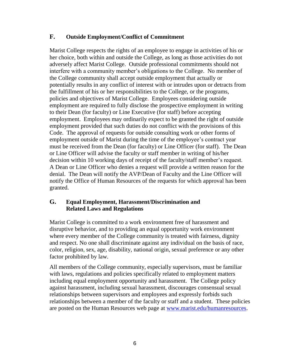## **F. Outside Employment/Conflict of Commitment**

Marist College respects the rights of an employee to engage in activities of his or her choice, both within and outside the College, as long as those activities do not adversely affect Marist College. Outside professional commitments should not interfere with a community member's obligations to the College. No member of the College community shall accept outside employment that actually or potentially results in any conflict of interest with or intrudes upon or detracts from the fulfillment of his or her responsibilities to the College, or the programs, policies and objectives of Marist College. Employees considering outside employment are required to fully disclose the prospective employment in writing to their Dean (for faculty) or Line Executive (for staff) before accepting employment. Employees may ordinarily expect to be granted the right of outside employment provided that such duties do not conflict with the provisions of this Code. The approval of requests for outside consulting work or other forms of employment outside of Marist during the time of the employee's contract year must be received from the Dean (for faculty) or Line Officer (for staff). The Dean or Line Officer will advise the faculty or staff member in writing of his/her decision within 10 working days of receipt of the faculty/staff member's request. A Dean or Line Officer who denies a request will provide a written reason for the denial. The Dean will notify the AVP/Dean of Faculty and the Line Officer will notify the Office of Human Resources of the requests for which approval has been granted.

#### **G. Equal Employment, Harassment/Discrimination and Related Laws and Regulations**

Marist College is committed to a work environment free of harassment and disruptive behavior, and to providing an equal opportunity work environment where every member of the College community is treated with fairness, dignity and respect. No one shall discriminate against any individual on the basis of race, color, religion, sex, age, disability, national origin, sexual preference or any other factor prohibited by law.

All members of the College community, especially supervisors, must be familiar with laws, regulations and policies specifically related to employment matters including equal employment opportunity and harassment. The College policy against harassment, including sexual harassment, discourages consensual sexual relationships between supervisors and employees and expressly forbids such relationships between a member of the faculty or staff and a student. These policies are posted on the Human Resources web page at [www.marist.edu/humanresources.](http://www.marist.edu/humanresources)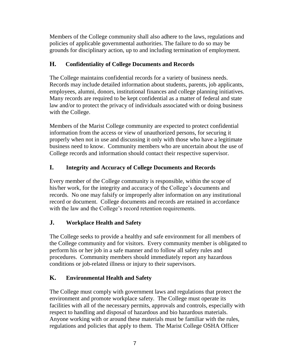Members of the College community shall also adhere to the laws, regulations and policies of applicable governmental authorities. The failure to do so may be grounds for disciplinary action, up to and including termination of employment.

## **H. Confidentiality of College Documents and Records**

The College maintains confidential records for a variety of business needs. Records may include detailed information about students, parents, job applicants, employees, alumni, donors, institutional finances and college planning initiatives. Many records are required to be kept confidential as a matter of federal and state law and/or to protect the privacy of individuals associated with or doing business with the College.

Members of the Marist College community are expected to protect confidential information from the access or view of unauthorized persons, for securing it properly when not in use and discussing it only with those who have a legitimate business need to know. Community members who are uncertain about the use of College records and information should contact their respective supervisor.

## **I. Integrity and Accuracy of College Documents and Records**

Every member of the College community is responsible, within the scope of his/her work, for the integrity and accuracy of the College's documents and records. No one may falsify or improperly alter information on any institutional record or document. College documents and records are retained in accordance with the law and the College's record retention requirements.

## **J. Workplace Health and Safety**

The College seeks to provide a healthy and safe environment for all members of the College community and for visitors. Every community member is obligated to perform his or her job in a safe manner and to follow all safety rules and procedures. Community members should immediately report any hazardous conditions or job-related illness or injury to their supervisors.

## **K. Environmental Health and Safety**

The College must comply with government laws and regulations that protect the environment and promote workplace safety. The College must operate its facilities with all of the necessary permits, approvals and controls, especially with respect to handling and disposal of hazardous and bio hazardous materials. Anyone working with or around these materials must be familiar with the rules, regulations and policies that apply to them. The Marist College OSHA Officer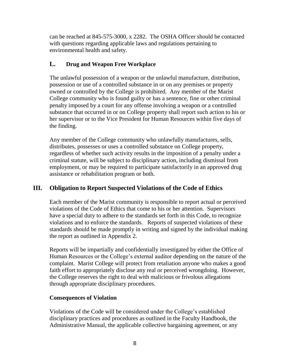can be reached at 845-575-3000, x 2282. The OSHA Officer should be contacted with questions regarding applicable laws and regulations pertaining to environmental health and safety.

## **L. Drug and Weapon Free Workplace**

The unlawful possession of a weapon or the unlawful manufacture, distribution, possession or use of a controlled substance in or on any premises or property owned or controlled by the College is prohibited. Any member of the Marist College community who is found guilty or has a sentence, fine or other criminal penalty imposed by a court for any offense involving a weapon or a controlled substance that occurred in or on College property shall report such action to his or her supervisor or to the Vice President for Human Resources within five days of the finding.

Any member of the College community who unlawfully manufactures, sells, distributes, possesses or uses a controlled substance on College property, regardless of whether such activity results in the imposition of a penalty under a criminal statute, will be subject to disciplinary action, including dismissal from employment, or may be required to participate satisfactorily in an approved drug assistance or rehabilitation program or both.

## **III. Obligation to Report Suspected Violations of the Code of Ethics**

Each member of the Marist community is responsible to report actual or perceived violations of the Code of Ethics that come to his or her attention. Supervisors have a special duty to adhere to the standards set forth in this Code, to recognize violations and to enforce the standards. Reports of suspected violations of these standards should be made promptly in writing and signed by the individual making the report as outlined in Appendix 2.

Reports will be impartially and confidentially investigated by either the Office of Human Resources or the College's external auditor depending on the nature of the complaint. Marist College will protect from retaliation anyone who makes a good faith effort to appropriately disclose any real or perceived wrongdoing. However, the College reserves the right to deal with malicious or frivolous allegations through appropriate disciplinary procedures.

## **Consequences of Violation**

Violations of the Code will be considered under the College's established disciplinary practices and procedures as outlined in the Faculty Handbook, the Administrative Manual, the applicable collective bargaining agreement, or any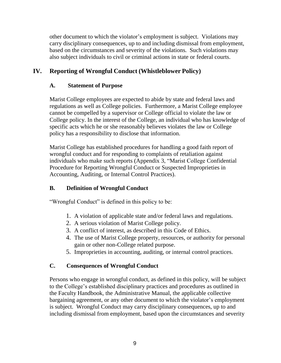other document to which the violator's employment is subject. Violations may carry disciplinary consequences, up to and including dismissal from employment, based on the circumstances and severity of the violations. Such violations may also subject individuals to civil or criminal actions in state or federal courts.

## **IV. Reporting of Wrongful Conduct (Whistleblower Policy)**

## **A. Statement of Purpose**

Marist College employees are expected to abide by state and federal laws and regulations as well as College policies. Furthermore, a Marist College employee cannot be compelled by a supervisor or College official to violate the law or College policy. In the interest of the College, an individual who has knowledge of specific acts which he or she reasonably believes violates the law or College policy has a responsibility to disclose that information.

Marist College has established procedures for handling a good faith report of wrongful conduct and for responding to complaints of retaliation against individuals who make such reports (Appendix 3, "Marist College Confidential Procedure for Reporting Wrongful Conduct or Suspected Improprieties in Accounting, Auditing, or Internal Control Practices).

## **B. Definition of Wrongful Conduct**

"Wrongful Conduct" is defined in this policy to be:

- 1. A violation of applicable state and/or federal laws and regulations.
- 2. A serious violation of Marist College policy.
- 3. A conflict of interest, as described in this Code of Ethics.
- 4. The use of Marist College property, resources, or authority for personal gain or other non-College related purpose.
- 5. Improprieties in accounting, auditing, or internal control practices.

## **C. Consequences of Wrongful Conduct**

Persons who engage in wrongful conduct, as defined in this policy, will be subject to the College's established disciplinary practices and procedures as outlined in the Faculty Handbook, the Administrative Manual, the applicable collective bargaining agreement, or any other document to which the violator's employment is subject. Wrongful Conduct may carry disciplinary consequences, up to and including dismissal from employment, based upon the circumstances and severity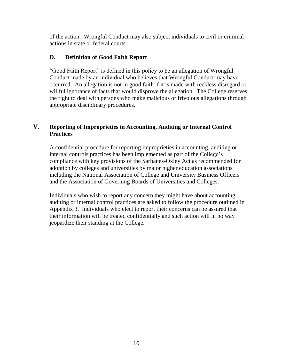of the action. Wrongful Conduct may also subject individuals to civil or criminal actions in state or federal courts.

#### **D. Definition of Good Faith Report**

"Good Faith Report" is defined in this policy to be an allegation of Wrongful Conduct made by an individual who believes that Wrongful Conduct may have occurred. An allegation is not in good faith if it is made with reckless disregard or willful ignorance of facts that would disprove the allegation. The College reserves the right to deal with persons who make malicious or frivolous allegations through appropriate disciplinary procedures.

#### **V. Reporting of Improprieties in Accounting, Auditing or Internal Control Practices**

A confidential procedure for reporting improprieties in accounting, auditing or internal controls practices has been implemented as part of the College's compliance with key provisions of the Sarbanes-Oxley Act as recommended for adoption by colleges and universities by major higher education associations including the National Association of College and University Business Officers and the Association of Governing Boards of Universities and Colleges.

Individuals who wish to report any concern they might have about accounting, auditing or internal control practices are asked to follow the procedure outlined in Appendix 3. Individuals who elect to report their concerns can be assured that their information will be treated confidentially and such action will in no way jeopardize their standing at the College.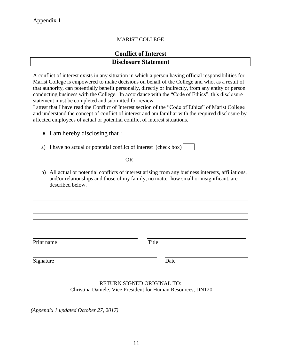#### MARIST COLLEGE

## **Conflict of Interest Disclosure Statement**

A conflict of interest exists in any situation in which a person having official responsibilities for Marist College is empowered to make decisions on behalf of the College and who, as a result of that authority, can potentially benefit personally, directly or indirectly, from any entity or person conducting business with the College. In accordance with the "Code of Ethics", this disclosure statement must be completed and submitted for review.

I attest that I have read the Conflict of Interest section of the "Code of Ethics" of Marist College and understand the concept of conflict of interest and am familiar with the required disclosure by affected employees of actual or potential conflict of interest situations.

- I am hereby disclosing that :
- a) I have no actual or potential conflict of interest (check box)

OR

b) All actual or potential conflicts of interest arising from any business interests, affiliations, and/or relationships and those of my family, no matter how small or insignificant, are described below.

Print name Title

Signature Date

#### RETURN SIGNED ORIGINAL TO: Christina Daniele, Vice President for Human Resources, DN120

*(Appendix 1 updated October 27, 2017)*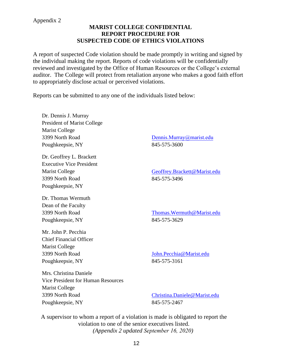#### **MARIST COLLEGE CONFIDENTIAL REPORT PROCEDURE FOR SUSPECTED CODE OF ETHICS VIOLATIONS**

A report of suspected Code violation should be made promptly in writing and signed by the individual making the report. Reports of code violations will be confidentially reviewed and investigated by the Office of Human Resources or the College's external auditor. The College will protect from retaliation anyone who makes a good faith effort to appropriately disclose actual or perceived violations.

Reports can be submitted to any one of the individuals listed below:

Dr. Dennis J. Murray President of Marist College Marist College 3399 North Road Poughkeepsie, NY

Dr. Geoffrey L. Brackett Executive Vice President Marist College 3399 North Road Poughkeepsie, NY

Dr. Thomas Wermuth Dean of the Faculty 3399 North Road Poughkeepsie, NY

Mr. John P. Pecchia Chief Financial Officer Marist College 3399 North Road Poughkeepsie, NY

D[ennis.Murray@marist.edu](mailto:David.Yellen@Marist.edu) 845-575-3600

[Geoffrey.Brackett@Marist.edu](mailto:Geoffrey.Brackett@Marist.edu) 845-575-3496

[Thomas.Wermuth@Marist.edu](mailto:Thomas.Wermuth@Marist.edu) 845-575-3629

[John.Pecchia@Marist.edu](mailto:John.Pecchia@Marist.edu) 845-575-3161

Mrs. Christina Daniele Vice President for Human Resources Marist College 3399 North Road Poughkeepsie, NY

[Christina.Daniele@Marist.edu](mailto:Christina.Daniele@Marist.edu) 845-575-2467

A supervisor to whom a report of a violation is made is obligated to report the violation to one of the senior executives listed. *(Appendix 2 updated September 16, 2020)*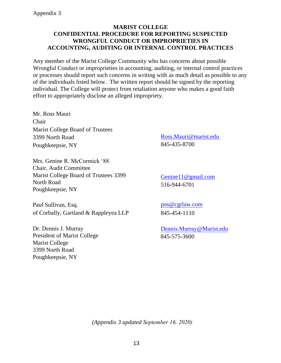#### **MARIST COLLEGE CONFIDENTIAL PROCEDURE FOR REPORTING SUSPECTED WRONGFUL CONDUCT OR IMPROPRIETIES IN ACCOUNTING, AUDITING OR INTERNAL CONTROL PRACTICES**

Any member of the Marist College Community who has concerns about possible Wrongful Conduct or improprieties in accounting, auditing, or internal control practices or processes should report such concerns in writing with as much detail as possible to any of the individuals listed below. The written report should be signed by the reporting individual. The College will protect from retaliation anyone who makes a good faith effort to appropriately disclose an alleged impropriety.

Mr. Ross Mauri Chair Marist College Board of Trustees 3399 North Road Poughkeepsie, NY

Mrs. Genine R. McCormick '88 Chair, Audit Committee Marist College Board of Trustees 3399 North Road Poughkeepsie, NY

Paul Sullivan, Esq. of Corbally, Gartland & Rappleyea LLP

Dr. Dennis J. Murray President of Marist College Marist College 3399 North Road Poughkeepsie, NY

[Ross.Mauri@marist.edu](mailto:Ross.Mauri@marist.edu) 845-435-8700

[Genine11@gmail.com](mailto:Genine11@gmail.com) 516-944-6701

[pos@cgrlaw.com](mailto:Edward.Miller@us.gt.com) 845-454-1110

Dennis.Murray@Marist.edu 845-575-3600

*(Appendix 3 updated September 16, 2020)*